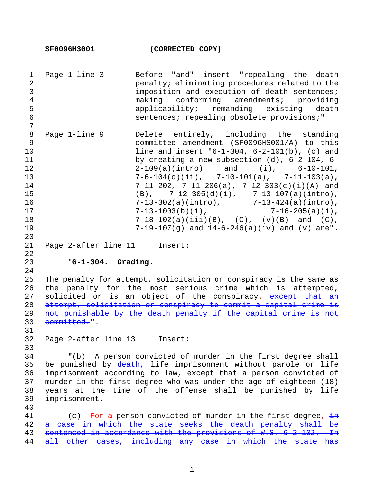| $\mathbf 1$<br>$\overline{2}$<br>3<br>$\overline{4}$<br>5<br>$\epsilon$<br>$\overline{7}$ | Page 1-line 3                                                                                                                                                                                                                                                                                                                                          | Before "and" insert "repealing the death<br>penalty; eliminating procedures related to the<br>imposition and execution of death sentences;<br>making conforming amendments; providing<br>applicability; remanding existing death<br>sentences; repealing obsolete provisions;"                                                                                                                                                                                                                                                                                                                                 |
|-------------------------------------------------------------------------------------------|--------------------------------------------------------------------------------------------------------------------------------------------------------------------------------------------------------------------------------------------------------------------------------------------------------------------------------------------------------|----------------------------------------------------------------------------------------------------------------------------------------------------------------------------------------------------------------------------------------------------------------------------------------------------------------------------------------------------------------------------------------------------------------------------------------------------------------------------------------------------------------------------------------------------------------------------------------------------------------|
| 8<br>9<br>10<br>11<br>12<br>13<br>14<br>15<br>16<br>17<br>18<br>19<br>20                  | Page 1-line 9                                                                                                                                                                                                                                                                                                                                          | Delete entirely, including the standing<br>committee amendment (SF0096HS001/A) to this<br>line and insert $-6-1-304$ , $6-2-101(b)$ , (c) and<br>by creating a new subsection $(d)$ , $6-2-104$ , $6-$<br>$2-109(a) (intro)$ and $(i)$ , $6-10-101$ ,<br>$7-6-104(c)(ii), 7-10-101(a), 7-11-103(a),$<br>$7-11-202$ , $7-11-206(a)$ , $7-12-303(c)(i)(A)$ and<br>(B), $7-12-305(d)(i)$ , $7-13-107(a)(intro)$ ,<br>7-13-302(a)(intro), $7-13-424(a)(\text{intro}),$<br>$7-13-1003(b)(i),$ $7-16-205(a)(i),$<br>$7-18-102(a)(iii)(B), (C), (v)(B)$ and $(C),$<br>7-19-107(g) and $14-6-246(a)(iv)$ and (v) are". |
| 21<br>22                                                                                  | Page 2-after line 11 Insert:                                                                                                                                                                                                                                                                                                                           |                                                                                                                                                                                                                                                                                                                                                                                                                                                                                                                                                                                                                |
| 23<br>24                                                                                  | $"6-1-304.$ Grading.                                                                                                                                                                                                                                                                                                                                   |                                                                                                                                                                                                                                                                                                                                                                                                                                                                                                                                                                                                                |
| 25<br>26<br>27<br>28<br>29<br>30<br>31                                                    | The penalty for attempt, solicitation or conspiracy is the same as<br>the penalty for the most serious crime which is attempted,<br>solicited or is an object of the conspiracy. except that an<br>attempt, solicitation or conspiracy to commit a capital crime is<br>not punishable by the death penalty if the capital crime is not<br>committed.". |                                                                                                                                                                                                                                                                                                                                                                                                                                                                                                                                                                                                                |
| 32                                                                                        | Page 2-after line 13 Insert:                                                                                                                                                                                                                                                                                                                           |                                                                                                                                                                                                                                                                                                                                                                                                                                                                                                                                                                                                                |
| 33<br>34<br>35<br>36<br>37<br>38<br>39<br>40                                              | "(b) A person convicted of murder in the first degree shall<br>be punished by death, life imprisonment without parole or life<br>imprisonment according to law, except that a person convicted of<br>murder in the first degree who was under the age of eighteen (18)<br>years at the time of the offense shall be punished by life<br>imprisonment.  |                                                                                                                                                                                                                                                                                                                                                                                                                                                                                                                                                                                                                |
| 41<br>42                                                                                  | (c) For a person convicted of murder in the first degree, $\frac{1}{2}$<br>a case in which the state seeks the death penalty shall be<br>sentenced in accordance with the provisions of W.S. 6-2-102. In<br>all other cases, including any case in which the state has                                                                                 |                                                                                                                                                                                                                                                                                                                                                                                                                                                                                                                                                                                                                |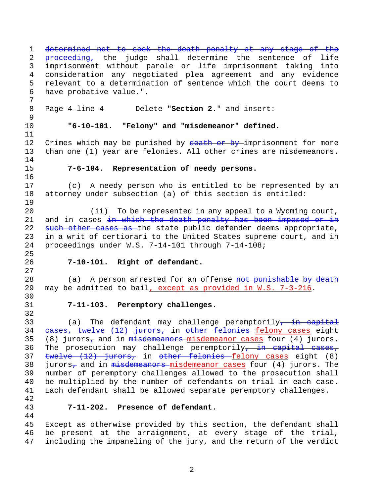1 determined not to seek the death penalty at any stage of the 2 proceeding, the judge shall determine the sentence of life 3 imprisonment without parole or life imprisonment taking into 4 consideration any negotiated plea agreement and any evidence 5 relevant to a determination of sentence which the court deems to 6 have probative value.". 7 8 Page 4-line 4 Delete "**Section 2.**" and insert: 9 10 **"6-10-101. "Felony" and "misdemeanor" defined.** 11 12 Crimes which may be punished by death or by imprisonment for more 13 than one (1) year are felonies. All other crimes are misdemeanors. 14 15 **7-6-104. Representation of needy persons.** 16 17 (c) A needy person who is entitled to be represented by an 18 attorney under subsection (a) of this section is entitled: 19 20 (ii) To be represented in any appeal to a Wyoming court, 21 and in cases  $\frac{1}{2}$  which the death penalty has been imposed or in 22 such other cases as the state public defender deems appropriate, 23 in a writ of certiorari to the United States supreme court, and in 24 proceedings under W.S. 7-14-101 through 7-14-108; 25 26 **7-10-101. Right of defendant.** 27 28 (a) A person arrested for an offense not punishable by death 29 may be admitted to bail, except as provided in W.S. 7-3-216. 30 31 **7-11-103. Peremptory challenges.** 32 33 (a) The defendant may challenge peremptorily, in capital 34 cases, twelve (12) jurors, in other felonies felony cases eight 35 (8) jurors<sub>7</sub> and in  $m$ isdemeanors misdemeanor cases four (4) jurors. 36 The prosecution may challenge peremptorily, in capital cases, 37 twelve (12) jurors, in other felonies felony cases eight (8) 38 jurors<sub>7</sub> and in  $m$ isdemeanors misdemeanor cases four (4) jurors. The 39 number of peremptory challenges allowed to the prosecution shall 40 be multiplied by the number of defendants on trial in each case. 41 Each defendant shall be allowed separate peremptory challenges. 42 43 **7-11-202. Presence of defendant.** 44 45 Except as otherwise provided by this section, the defendant shall

46 be present at the arraignment, at every stage of the trial, 47 including the impaneling of the jury, and the return of the verdict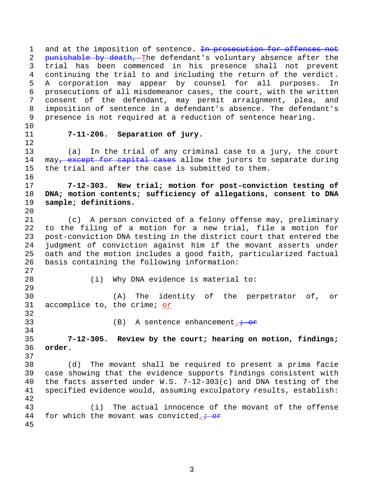1 and at the imposition of sentence. In prosecution for offenses not 2 punishable by death, The defendant's voluntary absence after the 3 trial has been commenced in his presence shall not prevent 4 continuing the trial to and including the return of the verdict. 5 A corporation may appear by counsel for all purposes. In 6 prosecutions of all misdemeanor cases, the court, with the written 7 consent of the defendant, may permit arraignment, plea, and 8 imposition of sentence in a defendant's absence. The defendant's 9 presence is not required at a reduction of sentence hearing.

- 10
- 12

16

20

27

## 11 **7-11-206. Separation of jury.**

13 (a) In the trial of any criminal case to a jury, the court 14 may, except for capital cases allow the jurors to separate during 15 the trial and after the case is submitted to them.

17 **7-12-303. New trial; motion for post-conviction testing of**  18 **DNA; motion contents; sufficiency of allegations, consent to DNA**  19 **sample; definitions.**

21 (c) A person convicted of a felony offense may, preliminary 22 to the filing of a motion for a new trial, file a motion for 23 post-conviction DNA testing in the district court that entered the 24 judgment of conviction against him if the movant asserts under 25 oath and the motion includes a good faith, particularized factual 26 basis containing the following information:

28 (i) Why DNA evidence is material to: 29 30 (A) The identity of the perpetrator of, or 31 accomplice to, the crime; or

32

34

37

33 (B) A sentence enhancement.  $\frac{1}{100}$ 

35 **7-12-305. Review by the court; hearing on motion, findings;**  36 **order.**

38 (d) The movant shall be required to present a prima facie 39 case showing that the evidence supports findings consistent with 40 the facts asserted under W.S. 7-12-303(c) and DNA testing of the 41 specified evidence would, assuming exculpatory results, establish: 42 43 (i) The actual innocence of the movant of the offense 44 for which the movant was convicted.  $\div$  or

45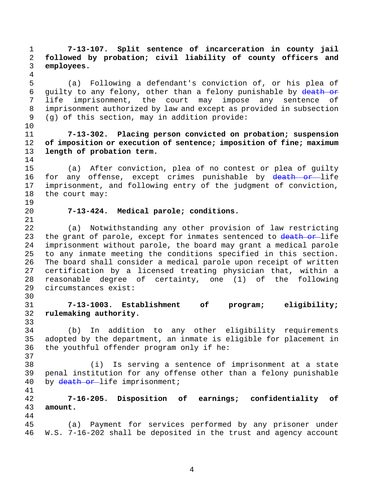1 **7-13-107. Split sentence of incarceration in county jail**  2 **followed by probation; civil liability of county officers and**  3 **employees.** 4 5 (a) Following a defendant's conviction of, or his plea of 6 guilty to any felony, other than a felony punishable by death or 7 life imprisonment, the court may impose any sentence of 8 imprisonment authorized by law and except as provided in subsection 9 (g) of this section, may in addition provide: 10 11 **7-13-302. Placing person convicted on probation; suspension**  12 **of imposition or execution of sentence; imposition of fine; maximum**  13 **length of probation term.** 14 15 (a) After conviction, plea of no contest or plea of guilty 16 for any offense, except crimes punishable by death or life 17 imprisonment, and following entry of the judgment of conviction, 18 the court may: 19 20 **7-13-424. Medical parole; conditions.** 21 22 (a) Notwithstanding any other provision of law restricting 23 the grant of parole, except for inmates sentenced to  $\frac{death}{ }$  or life 24 imprisonment without parole, the board may grant a medical parole 25 to any inmate meeting the conditions specified in this section. 26 The board shall consider a medical parole upon receipt of written 27 certification by a licensed treating physician that, within a 28 reasonable degree of certainty, one (1) of the following 29 circumstances exist: 30 31 **7-13-1003. Establishment of program; eligibility;**  32 **rulemaking authority.** 33 34 (b) In addition to any other eligibility requirements 35 adopted by the department, an inmate is eligible for placement in 36 the youthful offender program only if he: 37 38 (i) Is serving a sentence of imprisonment at a state 39 penal institution for any offense other than a felony punishable 40 by death or life imprisonment; 41 42 **7-16-205. Disposition of earnings; confidentiality of**  43 **amount.** 44 45 (a) Payment for services performed by any prisoner under 46 W.S. 7-16-202 shall be deposited in the trust and agency account

4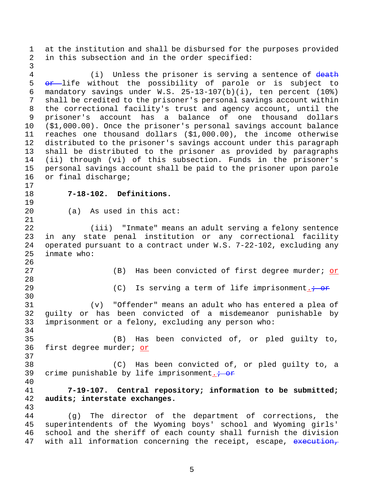1 at the institution and shall be disbursed for the purposes provided 2 in this subsection and in the order specified:

3

4 (i) Unless the prisoner is serving a sentence of death 5 or life without the possibility of parole or is subject to 6 mandatory savings under W.S. 25-13-107(b)(i), ten percent (10%) 7 shall be credited to the prisoner's personal savings account within 8 the correctional facility's trust and agency account, until the 9 prisoner's account has a balance of one thousand dollars 10 (\$1,000.00). Once the prisoner's personal savings account balance 11 reaches one thousand dollars (\$1,000.00), the income otherwise 12 distributed to the prisoner's savings account under this paragraph 13 shall be distributed to the prisoner as provided by paragraphs 14 (ii) through (vi) of this subsection. Funds in the prisoner's 15 personal savings account shall be paid to the prisoner upon parole 16 or final discharge; 17 18 **7-18-102. Definitions.** 19 20 (a) As used in this act: 21 22 (iii) "Inmate" means an adult serving a felony sentence 23 in any state penal institution or any correctional facility 24 operated pursuant to a contract under W.S. 7-22-102, excluding any 25 inmate who: 26 27 (B) Has been convicted of first degree murder; or 28 29 (C) Is serving a term of life imprisonment.  $\frac{1}{10}$ 30 31 (v) "Offender" means an adult who has entered a plea of 32 guilty or has been convicted of a misdemeanor punishable by 33 imprisonment or a felony, excluding any person who: 34 35 (B) Has been convicted of, or pled guilty to, 36 first degree murder; or 37 38 (C) Has been convicted of, or pled guilty to, a 39 crime punishable by life imprisonment.  $\div$  or 40 41 **7-19-107. Central repository; information to be submitted;**  42 **audits; interstate exchanges.** 43 44 (g) The director of the department of corrections, the 45 superintendents of the Wyoming boys' school and Wyoming girls' 46 school and the sheriff of each county shall furnish the division 47 with all information concerning the receipt, escape, execution,

5